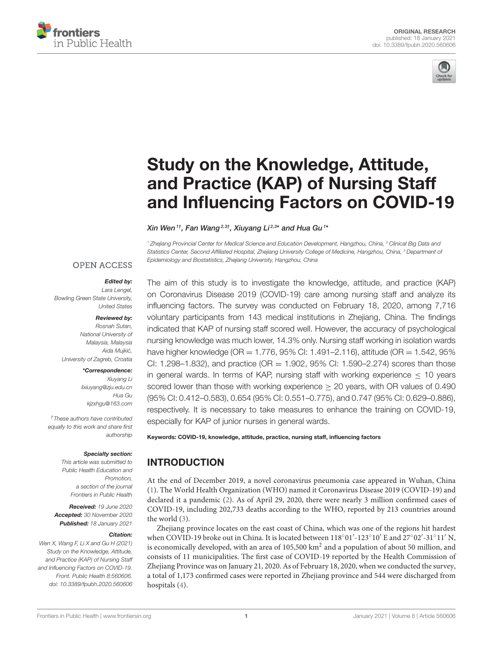



# Study on the Knowledge, Attitude, and Practice (KAP) of Nursing Staff [and Influencing Factors on COVID-19](https://www.frontiersin.org/articles/10.3389/fpubh.2020.560606/full)

Xin Wen $^{\text{1}\dagger}$ , Fan Wang $^{\text{2,3}\dagger}$ , Xiuyang Li $^{\text{2,3}\star}$  and Hua Gu $^{\text{1}\star}$ 

*<sup>1</sup> Zhejiang Provincial Center for Medical Science and Education Development, Hangzhou, China, <sup>2</sup> Clinical Big Data and Statistics Center, Second Affiliated Hospital, Zhejiang University College of Medicine, Hangzhou, China, <sup>3</sup> Department of Epidemiology and Biostatistics, Zhejiang University, Hangzhou, China*

### **OPEN ACCESS**

### Edited by:

*Lara Lengel, Bowling Green State University, United States*

### Reviewed by:

*Rosnah Sutan, National University of Malaysia, Malaysia Aida Mujkic,´ University of Zagreb, Croatia*

### \*Correspondence:

*Xiuyang Li [lixiuyang@zju.edu.cn](mailto:lixiuyang@zju.edu.cn) Hua Gu [kjzxhgu@163.com](mailto:kjzxhgu@163.com)*

*†These authors have contributed equally to this work and share first authorship*

#### Specialty section:

*This article was submitted to Public Health Education and Promotion, a section of the journal Frontiers in Public Health*

Received: *19 June 2020* Accepted: *30 November 2020* Published: *18 January 2021*

#### Citation:

*Wen X, Wang F, Li X and Gu H (2021) Study on the Knowledge, Attitude, and Practice (KAP) of Nursing Staff and Influencing Factors on COVID-19. Front. Public Health 8:560606. doi: [10.3389/fpubh.2020.560606](https://doi.org/10.3389/fpubh.2020.560606)* The aim of this study is to investigate the knowledge, attitude, and practice (KAP) on Coronavirus Disease 2019 (COVID-19) care among nursing staff and analyze its influencing factors. The survey was conducted on February 18, 2020, among 7,716 voluntary participants from 143 medical institutions in Zhejiang, China. The findings indicated that KAP of nursing staff scored well. However, the accuracy of psychological nursing knowledge was much lower, 14.3% only. Nursing staff working in isolation wards have higher knowledge (OR = 1.776, 95% CI: 1.491–2.116), attitude (OR = 1.542, 95% CI: 1.298–1.832), and practice (OR  $=$  1.902, 95% CI: 1.590–2.274) scores than those in general wards. In terms of KAP, nursing staff with working experience  $\leq$  10 years scored lower than those with working experience  $\geq$  20 years, with OR values of 0.490 (95% CI: 0.412–0.583), 0.654 (95% CI: 0.551–0.775), and 0.747 (95% CI: 0.629–0.886), respectively. It is necessary to take measures to enhance the training on COVID-19, especially for KAP of junior nurses in general wards.

Keywords: COVID-19, knowledge, attitude, practice, nursing staff, influencing factors

# INTRODUCTION

At the end of December 2019, a novel coronavirus pneumonia case appeared in Wuhan, China [\(1\)](#page-5-0). The World Health Organization (WHO) named it Coronavirus Disease 2019 (COVID-19) and declared it a pandemic [\(2\)](#page-5-1). As of April 29, 2020, there were nearly 3 million confirmed cases of COVID-19, including 202,733 deaths according to the WHO, reported by 213 countries around the world [\(3\)](#page-5-2).

Zhejiang province locates on the east coast of China, which was one of the regions hit hardest when COVID-19 broke out in China. It is located between 118°01'-123°10' E and 27°02'-31°11' N, is economically developed, with an area of 105,500 km<sup>2</sup> and a population of about 50 million, and consists of 11 municipalities. The first case of COVID-19 reported by the Health Commission of Zhejiang Province was on January 21, 2020. As of February 18, 2020, when we conducted the survey, a total of 1,173 confirmed cases were reported in Zhejiang province and 544 were discharged from hospitals [\(4\)](#page-5-3).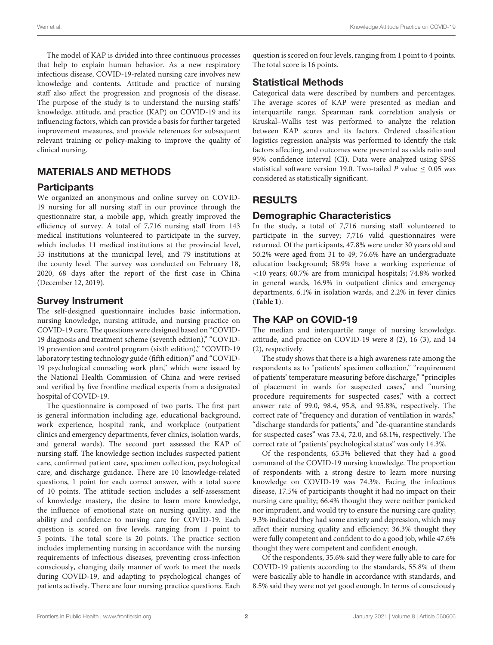The model of KAP is divided into three continuous processes that help to explain human behavior. As a new respiratory infectious disease, COVID-19-related nursing care involves new knowledge and contents. Attitude and practice of nursing staff also affect the progression and prognosis of the disease. The purpose of the study is to understand the nursing staffs' knowledge, attitude, and practice (KAP) on COVID-19 and its influencing factors, which can provide a basis for further targeted improvement measures, and provide references for subsequent relevant training or policy-making to improve the quality of clinical nursing.

# MATERIALS AND METHODS

# **Participants**

We organized an anonymous and online survey on COVID-19 nursing for all nursing staff in our province through the questionnaire star, a mobile app, which greatly improved the efficiency of survey. A total of 7,716 nursing staff from 143 medical institutions volunteered to participate in the survey, which includes 11 medical institutions at the provincial level, 53 institutions at the municipal level, and 79 institutions at the county level. The survey was conducted on February 18, 2020, 68 days after the report of the first case in China (December 12, 2019).

# Survey Instrument

The self-designed questionnaire includes basic information, nursing knowledge, nursing attitude, and nursing practice on COVID-19 care. The questions were designed based on "COVID-19 diagnosis and treatment scheme (seventh edition)," "COVID-19 prevention and control program (sixth edition)," "COVID-19 laboratory testing technology guide (fifth edition)" and "COVID-19 psychological counseling work plan," which were issued by the National Health Commission of China and were revised and verified by five frontline medical experts from a designated hospital of COVID-19.

The questionnaire is composed of two parts. The first part is general information including age, educational background, work experience, hospital rank, and workplace (outpatient clinics and emergency departments, fever clinics, isolation wards, and general wards). The second part assessed the KAP of nursing staff. The knowledge section includes suspected patient care, confirmed patient care, specimen collection, psychological care, and discharge guidance. There are 10 knowledge-related questions, 1 point for each correct answer, with a total score of 10 points. The attitude section includes a self-assessment of knowledge mastery, the desire to learn more knowledge, the influence of emotional state on nursing quality, and the ability and confidence to nursing care for COVID-19. Each question is scored on five levels, ranging from 1 point to 5 points. The total score is 20 points. The practice section includes implementing nursing in accordance with the nursing requirements of infectious diseases, preventing cross-infection consciously, changing daily manner of work to meet the needs during COVID-19, and adapting to psychological changes of patients actively. There are four nursing practice questions. Each question is scored on four levels, ranging from 1 point to 4 points. The total score is 16 points.

# Statistical Methods

Categorical data were described by numbers and percentages. The average scores of KAP were presented as median and interquartile range. Spearman rank correlation analysis or Kruskal–Wallis test was performed to analyze the relation between KAP scores and its factors. Ordered classification logistics regression analysis was performed to identify the risk factors affecting, and outcomes were presented as odds ratio and 95% confidence interval (CI). Data were analyzed using SPSS statistical software version 19.0. Two-tailed P value  $\leq 0.05$  was considered as statistically significant.

# RESULTS

# Demographic Characteristics

In the study, a total of 7,716 nursing staff volunteered to participate in the survey; 7,716 valid questionnaires were returned. Of the participants, 47.8% were under 30 years old and 50.2% were aged from 31 to 49; 76.6% have an undergraduate education background; 58.9% have a working experience of <10 years; 60.7% are from municipal hospitals; 74.8% worked in general wards, 16.9% in outpatient clinics and emergency departments, 6.1% in isolation wards, and 2.2% in fever clinics (**[Table 1](#page-2-0)**).

# The KAP on COVID-19

The median and interquartile range of nursing knowledge, attitude, and practice on COVID-19 were 8 (2), 16 (3), and 14 (2), respectively.

The study shows that there is a high awareness rate among the respondents as to "patients' specimen collection," "requirement of patients' temperature measuring before discharge," "principles of placement in wards for suspected cases," and "nursing procedure requirements for suspected cases," with a correct answer rate of 99.0, 98.4, 95.8, and 95.8%, respectively. The correct rate of "frequency and duration of ventilation in wards," "discharge standards for patients," and "de-quarantine standards for suspected cases" was 73.4, 72.0, and 68.1%, respectively. The correct rate of "patients' psychological status" was only 14.3%.

Of the respondents, 65.3% believed that they had a good command of the COVID-19 nursing knowledge. The proportion of respondents with a strong desire to learn more nursing knowledge on COVID-19 was 74.3%. Facing the infectious disease, 17.5% of participants thought it had no impact on their nursing care quality; 66.4% thought they were neither panicked nor imprudent, and would try to ensure the nursing care quality; 9.3% indicated they had some anxiety and depression, which may affect their nursing quality and efficiency; 36.3% thought they were fully competent and confident to do a good job, while 47.6% thought they were competent and confident enough.

Of the respondents, 35.6% said they were fully able to care for COVID-19 patients according to the standards, 55.8% of them were basically able to handle in accordance with standards, and 8.5% said they were not yet good enough. In terms of consciously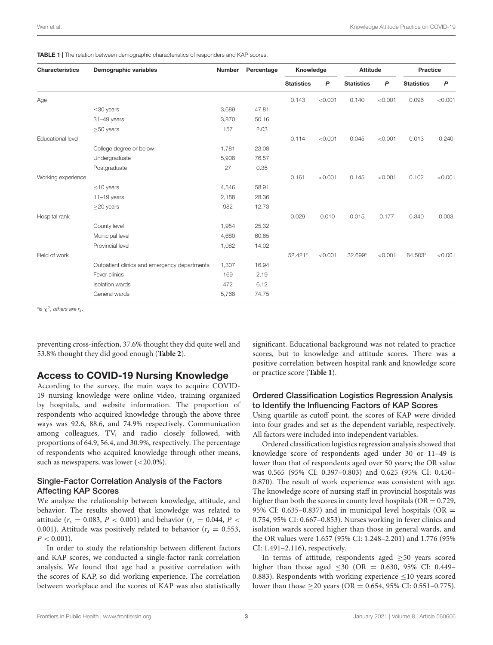<span id="page-2-0"></span>TABLE 1 | The relation between demographic characteristics of responders and KAP scores.

| <b>Characteristics</b>   | Demographic variables                        | Number | Percentage | Knowledge         |         | <b>Attitude</b>   |                | Practice          |                |
|--------------------------|----------------------------------------------|--------|------------|-------------------|---------|-------------------|----------------|-------------------|----------------|
|                          |                                              |        |            | <b>Statistics</b> | P       | <b>Statistics</b> | $\overline{P}$ | <b>Statistics</b> | $\overline{P}$ |
| Age                      |                                              |        |            | 0.143             | < 0.001 | 0.140             | < 0.001        | 0.096             | < 0.001        |
|                          | $\leq$ 30 years                              | 3,689  | 47.81      |                   |         |                   |                |                   |                |
|                          | 31-49 years                                  | 3,870  | 50.16      |                   |         |                   |                |                   |                |
|                          | $\geq$ 50 years                              | 157    | 2.03       |                   |         |                   |                |                   |                |
| <b>Educational level</b> |                                              |        |            | 0.114             | < 0.001 | 0.045             | < 0.001        | 0.013             | 0.240          |
|                          | College degree or below                      | 1,781  | 23.08      |                   |         |                   |                |                   |                |
|                          | Undergraduate                                | 5,908  | 76.57      |                   |         |                   |                |                   |                |
|                          | Postgraduate                                 | 27     | 0.35       |                   |         |                   |                |                   |                |
| Working experience       |                                              |        |            | 0.161             | < 0.001 | 0.145             | < 0.001        | 0.102             | < 0.001        |
|                          | $\leq$ 10 years                              | 4,546  | 58.91      |                   |         |                   |                |                   |                |
|                          | $11-19$ years                                | 2,188  | 28.36      |                   |         |                   |                |                   |                |
|                          | $\geq$ 20 years                              | 982    | 12.73      |                   |         |                   |                |                   |                |
| Hospital rank            |                                              |        |            | 0.029             | 0.010   | 0.015             | 0.177          | 0.340             | 0.003          |
|                          | County level                                 | 1,954  | 25.32      |                   |         |                   |                |                   |                |
|                          | Municipal level                              | 4,680  | 60.65      |                   |         |                   |                |                   |                |
|                          | Provincial level                             | 1,082  | 14.02      |                   |         |                   |                |                   |                |
| Field of work            |                                              |        |            | 52.421*           | < 0.001 | 32.699*           | < 0.001        | 64.503*           | < 0.001        |
|                          | Outpatient clinics and emergency departments | 1,307  | 16.94      |                   |         |                   |                |                   |                |
|                          | Fever clinics                                | 169    | 2.19       |                   |         |                   |                |                   |                |
|                          | <b>Isolation</b> wards                       | 472    | 6.12       |                   |         |                   |                |                   |                |
|                          | General wards                                | 5,768  | 74.75      |                   |         |                   |                |                   |                |

\**is* χ 2 *, others are rs.*

preventing cross-infection, 37.6% thought they did quite well and 53.8% thought they did good enough (**[Table 2](#page-3-0)**).

## Access to COVID-19 Nursing Knowledge

According to the survey, the main ways to acquire COVID-19 nursing knowledge were online video, training organized by hospitals, and website information. The proportion of respondents who acquired knowledge through the above three ways was 92.6, 88.6, and 74.9% respectively. Communication among colleagues, TV, and radio closely followed, with proportions of 64.9, 56.4, and 30.9%, respectively. The percentage of respondents who acquired knowledge through other means, such as newspapers, was lower (<20.0%).

### Single-Factor Correlation Analysis of the Factors Affecting KAP Scores

We analyze the relationship between knowledge, attitude, and behavior. The results showed that knowledge was related to attitude ( $r_s = 0.083, P < 0.001$ ) and behavior ( $r_s = 0.044, P <$ 0.001). Attitude was positively related to behavior ( $r_s = 0.553$ ,  $P < 0.001$ ).

In order to study the relationship between different factors and KAP scores, we conducted a single-factor rank correlation analysis. We found that age had a positive correlation with the scores of KAP, so did working experience. The correlation between workplace and the scores of KAP was also statistically significant. Educational background was not related to practice scores, but to knowledge and attitude scores. There was a positive correlation between hospital rank and knowledge score or practice score (**[Table 1](#page-2-0)**).

### Ordered Classification Logistics Regression Analysis to Identify the Influencing Factors of KAP Scores

Using quartile as cutoff point, the scores of KAP were divided into four grades and set as the dependent variable, respectively. All factors were included into independent variables.

Ordered classification logistics regression analysis showed that knowledge score of respondents aged under 30 or 11–49 is lower than that of respondents aged over 50 years; the OR value was 0.565 (95% CI: 0.397–0.803) and 0.625 (95% CI: 0.450– 0.870). The result of work experience was consistent with age. The knowledge score of nursing staff in provincial hospitals was higher than both the scores in county level hospitals ( $OR = 0.729$ , 95% CI: 0.635-0.837) and in municipal level hospitals (OR  $=$ 0.754, 95% CI: 0.667–0.853). Nurses working in fever clinics and isolation wards scored higher than those in general wards, and the OR values were 1.657 (95% CI: 1.248–2.201) and 1.776 (95% CI: 1.491–2.116), respectively.

In terms of attitude, respondents aged  $\geq$ 50 years scored higher than those aged  $\leq 30$  (OR = 0.630, 95% CI: 0.449– 0.883). Respondents with working experience  $\leq$ 10 years scored lower than those  $\geq$  20 years (OR = 0.654, 95% CI: 0.551–0.775).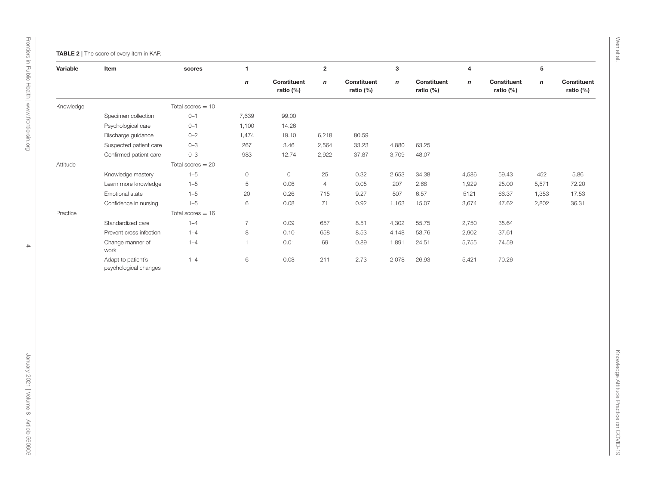<span id="page-3-0"></span>

| Specimen collection<br>Psychological care<br>Discharge guidance<br>Suspected patient care<br>Confirmed patient care<br>Knowledge mastery | Total scores $= 10$<br>$0 - 1$<br>$0 - 1$<br>$0 - 2$<br>$0 - 3$<br>$0 - 3$<br>Total scores $= 20$<br>$1 - 5$ | $\pmb{n}$<br>7,639<br>1,100<br>1,474<br>267<br>983 | Constituent<br>ratio (%)<br>99.00<br>14.26<br>19.10<br>3.46<br>12.74 | $\boldsymbol{n}$<br>6,218<br>2,564 | Constituent<br>ratio (%)<br>80.59 | $\mathsf{n}$ | Constituent<br>ratio (%) | $\mathbf n$ | Constituent<br>ratio (%) | $\boldsymbol{n}$ | Constituent<br>ratio (%) |
|------------------------------------------------------------------------------------------------------------------------------------------|--------------------------------------------------------------------------------------------------------------|----------------------------------------------------|----------------------------------------------------------------------|------------------------------------|-----------------------------------|--------------|--------------------------|-------------|--------------------------|------------------|--------------------------|
|                                                                                                                                          |                                                                                                              |                                                    |                                                                      |                                    |                                   |              |                          |             |                          |                  |                          |
|                                                                                                                                          |                                                                                                              |                                                    |                                                                      |                                    |                                   |              |                          |             |                          |                  |                          |
|                                                                                                                                          |                                                                                                              |                                                    |                                                                      |                                    |                                   |              |                          |             |                          |                  |                          |
|                                                                                                                                          |                                                                                                              |                                                    |                                                                      |                                    |                                   |              |                          |             |                          |                  |                          |
|                                                                                                                                          |                                                                                                              |                                                    |                                                                      |                                    |                                   |              |                          |             |                          |                  |                          |
|                                                                                                                                          |                                                                                                              |                                                    |                                                                      |                                    | 33.23                             | 4,880        | 63.25                    |             |                          |                  |                          |
|                                                                                                                                          |                                                                                                              |                                                    |                                                                      | 2,922                              | 37.87                             | 3,709        | 48.07                    |             |                          |                  |                          |
|                                                                                                                                          |                                                                                                              |                                                    |                                                                      |                                    |                                   |              |                          |             |                          |                  |                          |
|                                                                                                                                          |                                                                                                              | $\mathsf O$                                        | $\circ$                                                              | 25                                 | 0.32                              | 2,653        | 34.38                    | 4,586       | 59.43                    | 452              | 5.86                     |
| Learn more knowledge                                                                                                                     | $1 - 5$                                                                                                      | 5                                                  | 0.06                                                                 | $\overline{4}$                     | 0.05                              | 207          | 2.68                     | 1,929       | 25.00                    | 5,571            | 72.20                    |
| Emotional state                                                                                                                          | $1 - 5$                                                                                                      | 20                                                 | 0.26                                                                 | 715                                | 9.27                              | 507          | 6.57                     | 5121        | 66.37                    | 1,353            | 17.53                    |
| Confidence in nursing                                                                                                                    | $1 - 5$                                                                                                      | 6                                                  | 0.08                                                                 | 71                                 | 0.92                              | 1,163        | 15.07                    | 3,674       | 47.62                    | 2,802            | 36.31                    |
|                                                                                                                                          | Total scores $= 16$                                                                                          |                                                    |                                                                      |                                    |                                   |              |                          |             |                          |                  |                          |
| Standardized care                                                                                                                        | $1 - 4$                                                                                                      | $\overline{7}$                                     | 0.09                                                                 | 657                                | 8.51                              | 4,302        | 55.75                    | 2,750       | 35.64                    |                  |                          |
| Prevent cross infection                                                                                                                  | $1 - 4$                                                                                                      | $\,8\,$                                            | 0.10                                                                 | 658                                | 8.53                              | 4,148        | 53.76                    | 2,902       | 37.61                    |                  |                          |
| Change manner of<br>work                                                                                                                 | $1 - 4$                                                                                                      | $\mathbf{1}$                                       | 0.01                                                                 | 69                                 | 0.89                              | 1,891        | 24.51                    | 5,755       | 74.59                    |                  |                          |
| Adapt to patient's<br>psychological changes                                                                                              | $1 - 4$                                                                                                      | $\,6\,$                                            | 0.08                                                                 | 211                                | 2.73                              | 2,078        | 26.93                    | 5,421       | 70.26                    |                  |                          |
|                                                                                                                                          |                                                                                                              |                                                    |                                                                      |                                    |                                   |              |                          |             |                          |                  |                          |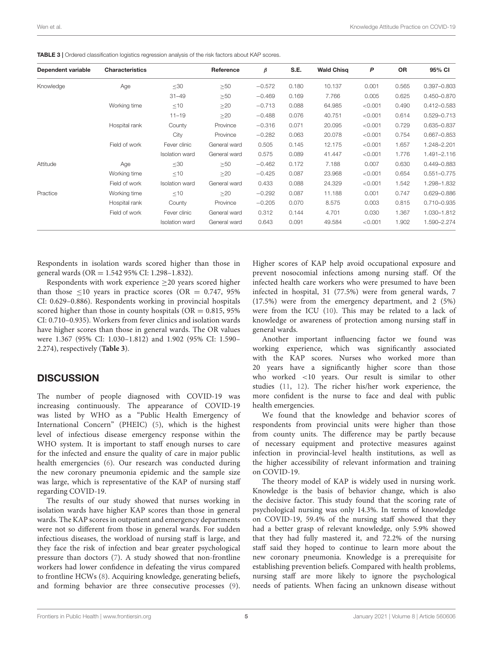| Dependent variable | <b>Characteristics</b> |                       | Reference    | β        | S.E.  | <b>Wald Chisg</b> | P       | <b>OR</b> | 95% CI          |
|--------------------|------------------------|-----------------------|--------------|----------|-------|-------------------|---------|-----------|-----------------|
| Knowledge          | Age                    | $\leq 30$             | $\geq 50$    | $-0.572$ | 0.180 | 10.137            | 0.001   | 0.565     | 0.397-0.803     |
|                    |                        | $31 - 49$             | $\geq 50$    | $-0.469$ | 0.169 | 7.766             | 0.005   | 0.625     | 0.450-0.870     |
|                    | Working time           | $\leq 10$             | $\geq$ 20    | $-0.713$ | 0.088 | 64.985            | < 0.001 | 0.490     | $0.412 - 0.583$ |
|                    |                        | $11 - 19$             | $\geq$ 20    | $-0.488$ | 0.076 | 40.751            | < 0.001 | 0.614     | 0.529-0.713     |
|                    | Hospital rank          | County                | Province     | $-0.316$ | 0.071 | 20.095            | < 0.001 | 0.729     | 0.635-0.837     |
|                    |                        | City                  | Province     | $-0.282$ | 0.063 | 20.078            | < 0.001 | 0.754     | $0.667 - 0.853$ |
|                    | Field of work          | Fever clinic          | General ward | 0.505    | 0.145 | 12.175            | < 0.001 | 1.657     | 1.248-2.201     |
|                    |                        | <b>Isolation</b> ward | General ward | 0.575    | 0.089 | 41.447            | < 0.001 | 1.776     | 1.491-2.116     |
| Attitude           | Age                    | $\leq 30$             | >50          | $-0.462$ | 0.172 | 7.188             | 0.007   | 0.630     | 0.449-0.883     |
|                    | Working time           | $\leq 10$             | >20          | $-0.425$ | 0.087 | 23.968            | < 0.001 | 0.654     | $0.551 - 0.775$ |
|                    | Field of work          | <b>Isolation</b> ward | General ward | 0.433    | 0.088 | 24.329            | < 0.001 | 1.542     | 1.298-1.832     |
| Practice           | Working time           | $<$ 10                | >20          | $-0.292$ | 0.087 | 11.188            | 0.001   | 0.747     | 0.629-0.886     |
|                    | Hospital rank          | County                | Province     | $-0.205$ | 0.070 | 8.575             | 0.003   | 0.815     | 0.710-0.935     |
|                    | Field of work          | Fever clinic          | General ward | 0.312    | 0.144 | 4.701             | 0.030   | 1.367     | 1.030-1.812     |
|                    |                        | <b>Isolation</b> ward | General ward | 0.643    | 0.091 | 49.584            | < 0.001 | 1.902     | 1.590-2.274     |
|                    |                        |                       |              |          |       |                   |         |           |                 |

<span id="page-4-0"></span>TABLE 3 | Ordered classification logistics regression analysis of the risk factors about KAP scores.

Respondents in isolation wards scored higher than those in general wards (OR = 1.542 95% CI: 1.298–1.832).

Respondents with work experience  $\geq$ 20 years scored higher than those  $\leq 10$  years in practice scores (OR = 0.747, 95%) CI: 0.629–0.886). Respondents working in provincial hospitals scored higher than those in county hospitals ( $OR = 0.815, 95\%$ CI: 0.710–0.935). Workers from fever clinics and isolation wards have higher scores than those in general wards. The OR values were 1.367 (95% CI: 1.030–1.812) and 1.902 (95% CI: 1.590– 2.274), respectively (**[Table 3](#page-4-0)**).

# **DISCUSSION**

The number of people diagnosed with COVID-19 was increasing continuously. The appearance of COVID-19 was listed by WHO as a "Public Health Emergency of International Concern" (PHEIC) [\(5\)](#page-5-4), which is the highest level of infectious disease emergency response within the WHO system. It is important to staff enough nurses to care for the infected and ensure the quality of care in major public health emergencies [\(6\)](#page-5-5). Our research was conducted during the new coronary pneumonia epidemic and the sample size was large, which is representative of the KAP of nursing staff regarding COVID-19.

The results of our study showed that nurses working in isolation wards have higher KAP scores than those in general wards. The KAP scores in outpatient and emergency departments were not so different from those in general wards. For sudden infectious diseases, the workload of nursing staff is large, and they face the risk of infection and bear greater psychological pressure than doctors [\(7\)](#page-5-6). A study showed that non-frontline workers had lower confidence in defeating the virus compared to frontline HCWs [\(8\)](#page-5-7). Acquiring knowledge, generating beliefs, and forming behavior are three consecutive processes [\(9\)](#page-5-8).

Higher scores of KAP help avoid occupational exposure and prevent nosocomial infections among nursing staff. Of the infected health care workers who were presumed to have been infected in hospital, 31 (77.5%) were from general wards, 7 (17.5%) were from the emergency department, and 2 (5%) were from the ICU [\(10\)](#page-5-9). This may be related to a lack of knowledge or awareness of protection among nursing staff in general wards.

Another important influencing factor we found was working experience, which was significantly associated with the KAP scores. Nurses who worked more than 20 years have a significantly higher score than those who worked <10 years. Our result is similar to other studies [\(11,](#page-5-10) [12\)](#page-5-11). The richer his/her work experience, the more confident is the nurse to face and deal with public health emergencies.

We found that the knowledge and behavior scores of respondents from provincial units were higher than those from county units. The difference may be partly because of necessary equipment and protective measures against infection in provincial-level health institutions, as well as the higher accessibility of relevant information and training on COVID-19.

The theory model of KAP is widely used in nursing work. Knowledge is the basis of behavior change, which is also the decisive factor. This study found that the scoring rate of psychological nursing was only 14.3%. In terms of knowledge on COVID-19, 59.4% of the nursing staff showed that they had a better grasp of relevant knowledge, only 5.9% showed that they had fully mastered it, and 72.2% of the nursing staff said they hoped to continue to learn more about the new coronary pneumonia. Knowledge is a prerequisite for establishing prevention beliefs. Compared with health problems, nursing staff are more likely to ignore the psychological needs of patients. When facing an unknown disease without